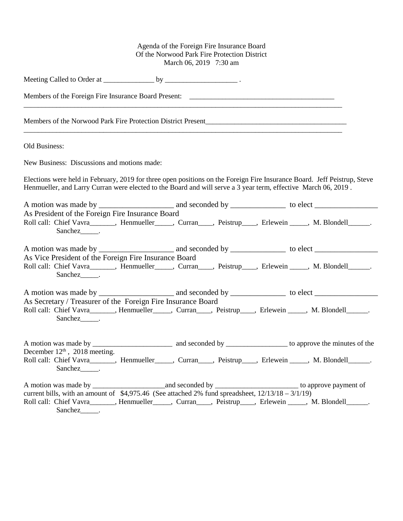## Agenda of the Foreign Fire Insurance Board Of the Norwood Park Fire Protection District March 06, 2019 7:30 am

| Members of the Foreign Fire Insurance Board Present: ____________________________                                                                                                                                                                    |  |  |  |
|------------------------------------------------------------------------------------------------------------------------------------------------------------------------------------------------------------------------------------------------------|--|--|--|
|                                                                                                                                                                                                                                                      |  |  |  |
| Old Business:                                                                                                                                                                                                                                        |  |  |  |
| New Business: Discussions and motions made:                                                                                                                                                                                                          |  |  |  |
| Elections were held in February, 2019 for three open positions on the Foreign Fire Insurance Board. Jeff Peistrup, Steve<br>Henmueller, and Larry Curran were elected to the Board and will serve a 3 year term, effective March 06, 2019.           |  |  |  |
|                                                                                                                                                                                                                                                      |  |  |  |
| As President of the Foreign Fire Insurance Board<br>Roll call: Chief Vavra_______, Henmueller_____, Curran____, Peistrup____, Erlewein _____, M. Blondell______.<br>Sanchez <sub>_____</sub> .                                                       |  |  |  |
|                                                                                                                                                                                                                                                      |  |  |  |
| As Vice President of the Foreign Fire Insurance Board<br>Roll call: Chief Vavra_______, Henmueller_____, Curran____, Peistrup____, Erlewein _____, M. Blondell______.                                                                                |  |  |  |
|                                                                                                                                                                                                                                                      |  |  |  |
| As Secretary / Treasurer of the Foreign Fire Insurance Board<br>Roll call: Chief Vavra_______, Henmueller_____, Curran____, Peistrup____, Erlewein _____, M. Blondell______.<br>Sanchez______.                                                       |  |  |  |
| December $12th$ , 2018 meeting.<br>Roll call: Chief Vavra_______, Henmueller_____, Curran____, Peistrup____, Erlewein _____, M. Blondell______.<br>Sanchez_______.                                                                                   |  |  |  |
| current bills, with an amount of $$4,975.46$ (See attached 2% fund spreadsheet, $12/13/18 - 3/1/19$ )<br>Roll call: Chief Vavra_______, Henmueller_____, Curran____, Peistrup____, Erlewein _____, M. Blondell______.<br>Sanchez <sub>______</sub> . |  |  |  |